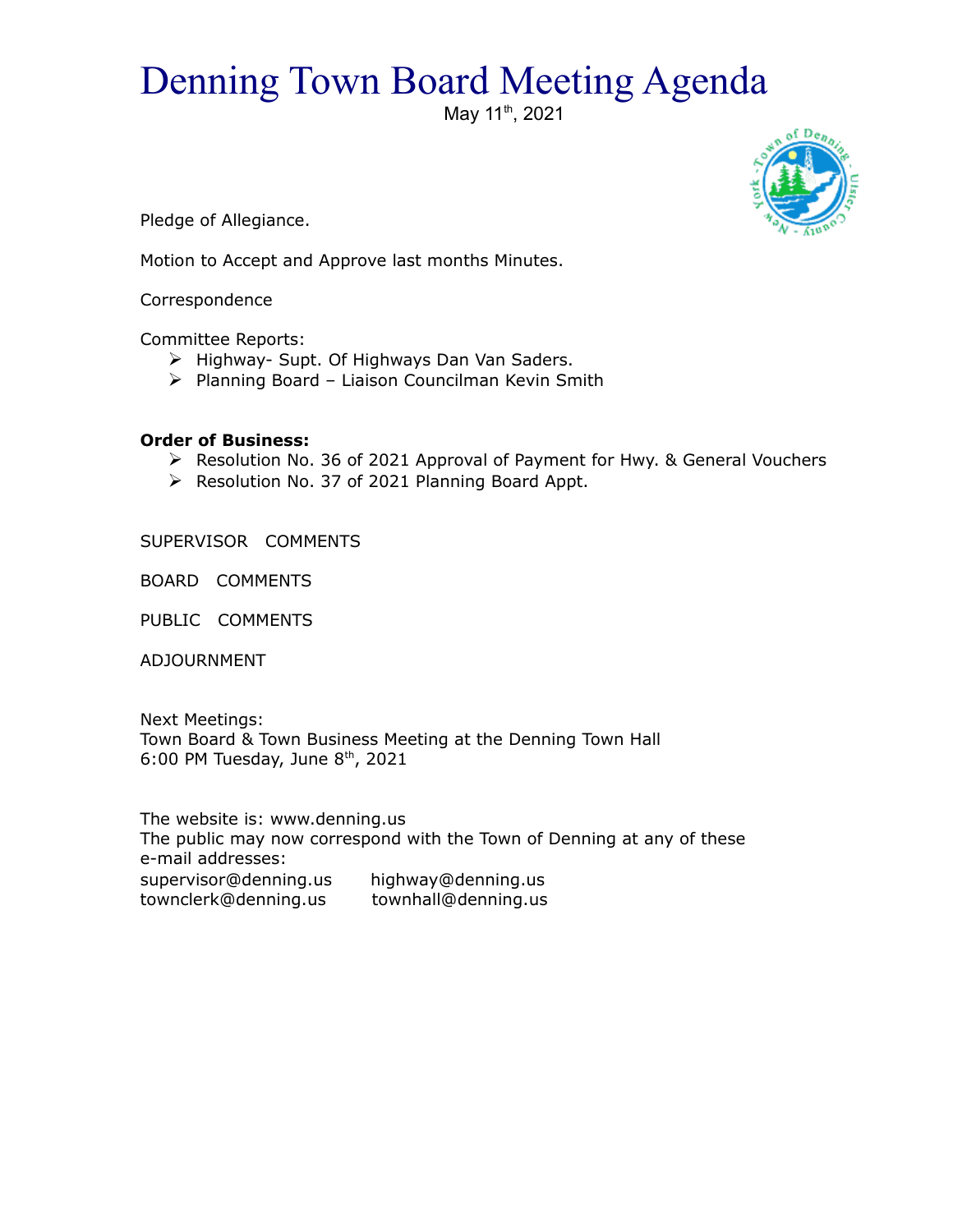## Denning Town Board Meeting Agenda

May 11<sup>th</sup>, 2021



Pledge of Allegiance.

Motion to Accept and Approve last months Minutes.

Correspondence

Committee Reports:

- $\triangleright$  Highway- Supt. Of Highways Dan Van Saders.
- $\triangleright$  Planning Board Liaison Councilman Kevin Smith

## **Order of Business:**

- Resolution No. 36 of 2021 Approval of Payment for Hwy. & General Vouchers
- $\triangleright$  Resolution No. 37 of 2021 Planning Board Appt.

SUPERVISOR COMMENTS

BOARD COMMENTS

PUBLIC COMMENTS

ADJOURNMENT

Next Meetings: Town Board & Town Business Meeting at the Denning Town Hall 6:00 PM Tuesday, June  $8<sup>th</sup>$ , 2021

The website is: www.denning.us The public may now correspond with the Town of Denning at any of these e-mail addresses: supervisor@denning.us highway@denning.us townclerk@denning.us townhall@denning.us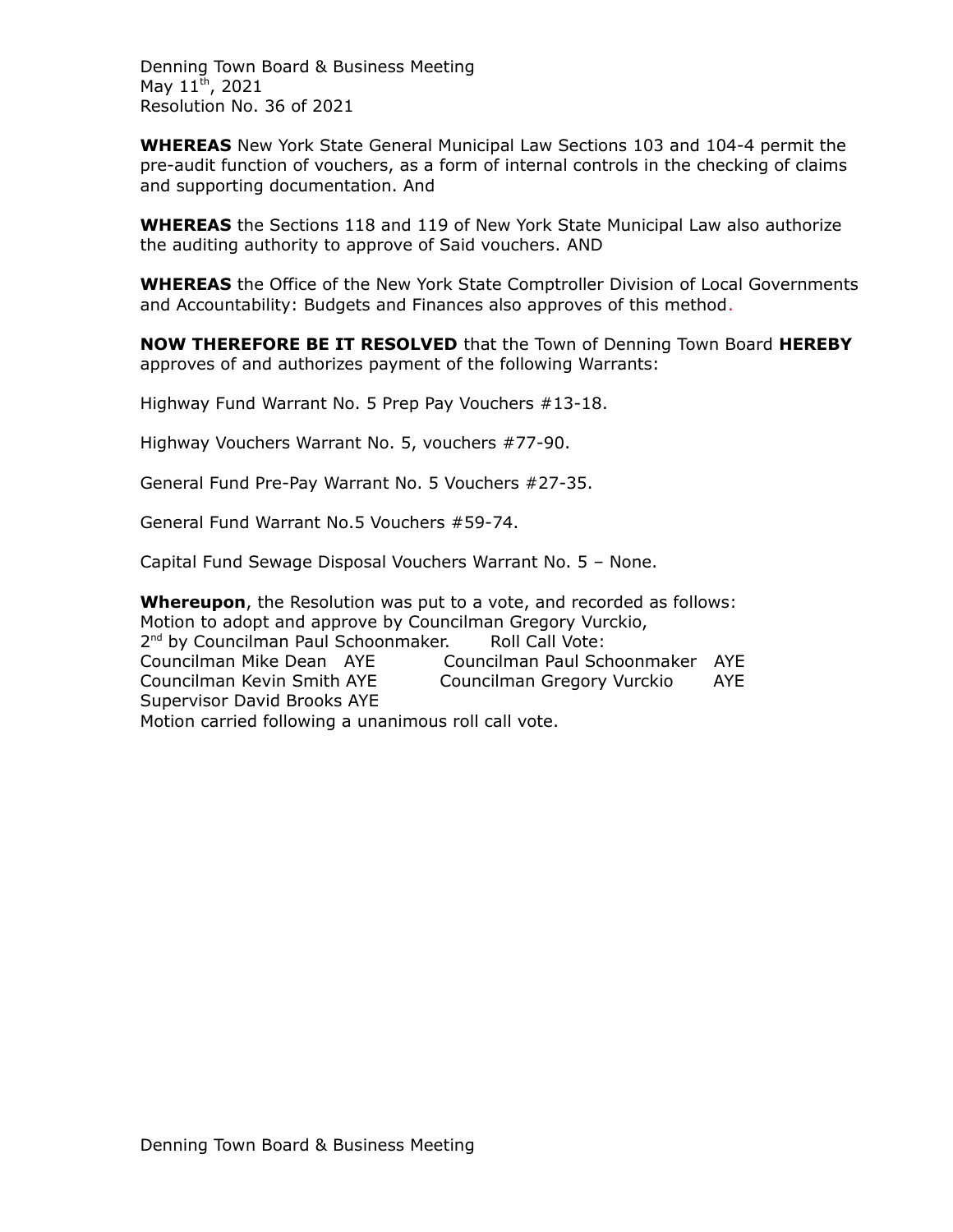Denning Town Board & Business Meeting May 11<sup>th</sup>, 2021 Resolution No. 36 of 2021

**WHEREAS** New York State General Municipal Law Sections 103 and 104-4 permit the pre-audit function of vouchers, as a form of internal controls in the checking of claims and supporting documentation. And

**WHEREAS** the Sections 118 and 119 of New York State Municipal Law also authorize the auditing authority to approve of Said vouchers. AND

**WHEREAS** the Office of the New York State Comptroller Division of Local Governments and Accountability: Budgets and Finances also approves of this method.

**NOW THEREFORE BE IT RESOLVED** that the Town of Denning Town Board **HEREBY** approves of and authorizes payment of the following Warrants:

Highway Fund Warrant No. 5 Prep Pay Vouchers #13-18.

Highway Vouchers Warrant No. 5, vouchers #77-90.

General Fund Pre-Pay Warrant No. 5 Vouchers #27-35.

General Fund Warrant No.5 Vouchers #59-74.

Capital Fund Sewage Disposal Vouchers Warrant No. 5 – None.

**Whereupon**, the Resolution was put to a vote, and recorded as follows: Motion to adopt and approve by Councilman Gregory Vurckio, 2<sup>nd</sup> by Councilman Paul Schoonmaker. Roll Call Vote: Councilman Mike Dean AYE Councilman Paul Schoonmaker AYE Councilman Kevin Smith AYE Councilman Gregory Vurckio AYE Supervisor David Brooks AYE Motion carried following a unanimous roll call vote.